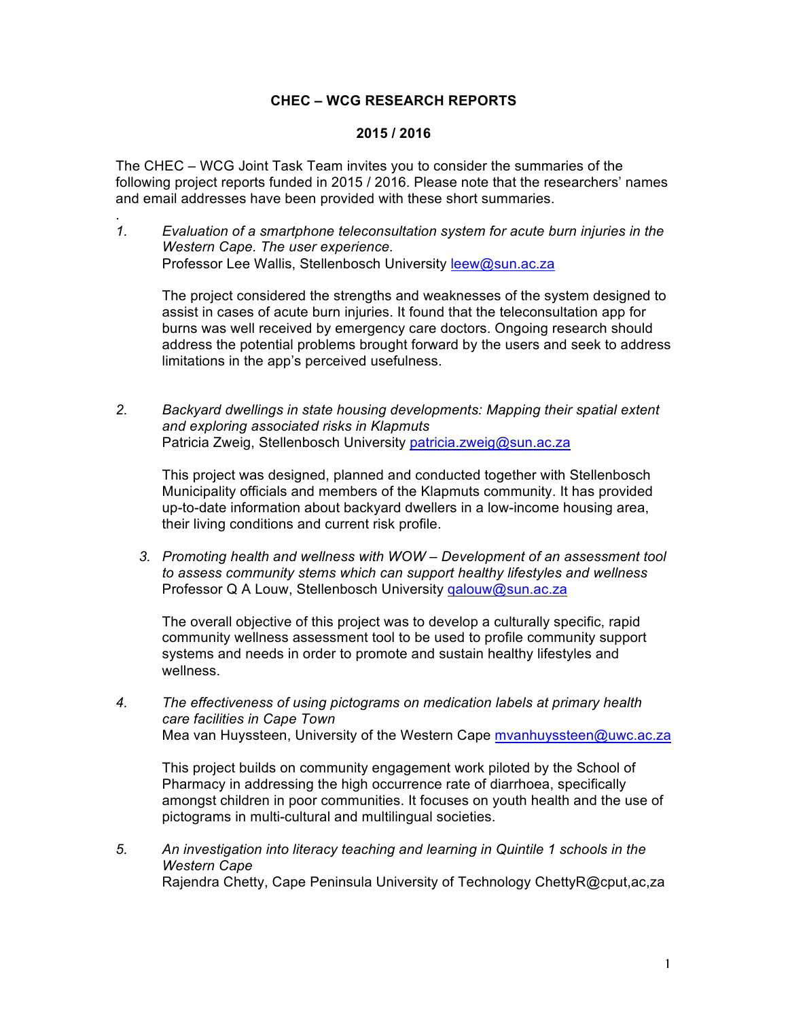## **CHEC – WCG RESEARCH REPORTS**

## **2015 / 2016**

The CHEC – WCG Joint Task Team invites you to consider the summaries of the following project reports funded in 2015 / 2016. Please note that the researchers' names and email addresses have been provided with these short summaries.

. *1. Evaluation of a smartphone teleconsultation system for acute burn injuries in the Western Cape. The user experience.* Professor Lee Wallis, Stellenbosch University leew@sun.ac.za

The project considered the strengths and weaknesses of the system designed to assist in cases of acute burn injuries. It found that the teleconsultation app for burns was well received by emergency care doctors. Ongoing research should address the potential problems brought forward by the users and seek to address limitations in the app's perceived usefulness.

*2. Backyard dwellings in state housing developments: Mapping their spatial extent and exploring associated risks in Klapmuts* Patricia Zweig, Stellenbosch University patricia.zweig@sun.ac.za

This project was designed, planned and conducted together with Stellenbosch Municipality officials and members of the Klapmuts community. It has provided up-to-date information about backyard dwellers in a low-income housing area, their living conditions and current risk profile.

*3. Promoting health and wellness with WOW – Development of an assessment tool to assess community stems which can support healthy lifestyles and wellness* Professor Q A Louw, Stellenbosch University galouw@sun.ac.za

The overall objective of this project was to develop a culturally specific, rapid community wellness assessment tool to be used to profile community support systems and needs in order to promote and sustain healthy lifestyles and wellness.

*4. The effectiveness of using pictograms on medication labels at primary health care facilities in Cape Town* Mea van Huyssteen, University of the Western Cape mvanhuyssteen@uwc.ac.za

This project builds on community engagement work piloted by the School of Pharmacy in addressing the high occurrence rate of diarrhoea, specifically amongst children in poor communities. It focuses on youth health and the use of pictograms in multi-cultural and multilingual societies.

*5. An investigation into literacy teaching and learning in Quintile 1 schools in the Western Cape* Rajendra Chetty, Cape Peninsula University of Technology ChettyR@cput,ac,za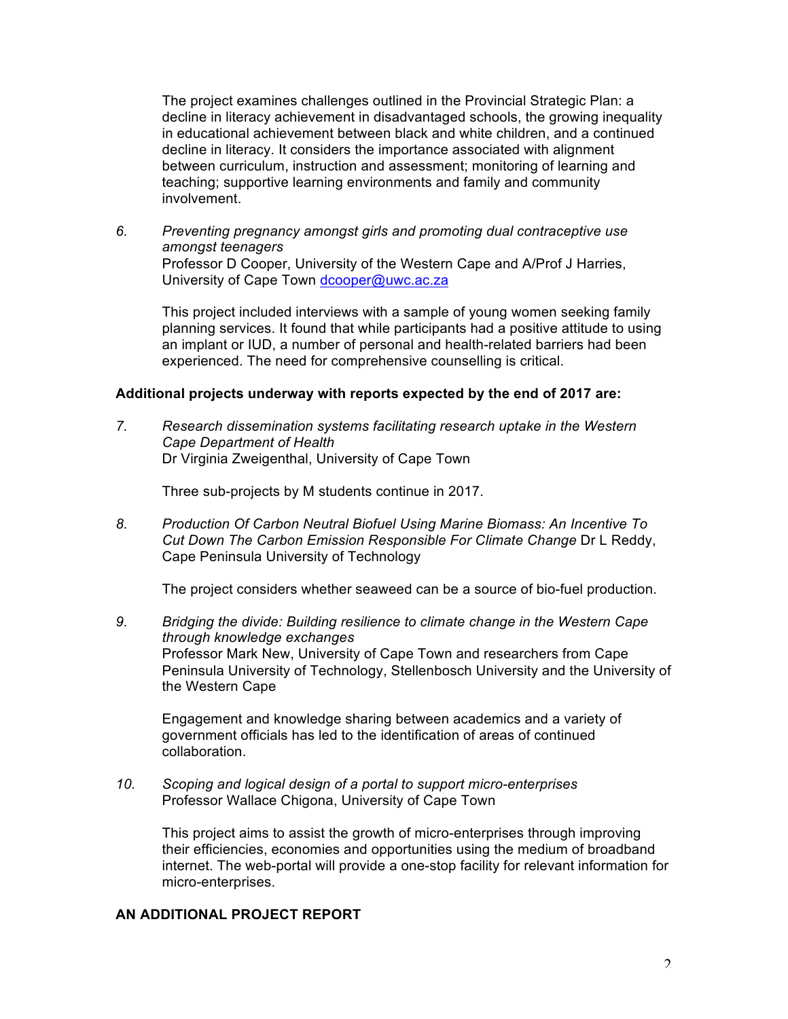The project examines challenges outlined in the Provincial Strategic Plan: a decline in literacy achievement in disadvantaged schools, the growing inequality in educational achievement between black and white children, and a continued decline in literacy. It considers the importance associated with alignment between curriculum, instruction and assessment; monitoring of learning and teaching; supportive learning environments and family and community involvement.

*6. Preventing pregnancy amongst girls and promoting dual contraceptive use amongst teenagers* Professor D Cooper, University of the Western Cape and A/Prof J Harries, University of Cape Town dcooper@uwc.ac.za

This project included interviews with a sample of young women seeking family planning services. It found that while participants had a positive attitude to using an implant or IUD, a number of personal and health-related barriers had been experienced. The need for comprehensive counselling is critical.

## **Additional projects underway with reports expected by the end of 2017 are:**

*7. Research dissemination systems facilitating research uptake in the Western Cape Department of Health* Dr Virginia Zweigenthal, University of Cape Town

Three sub-projects by M students continue in 2017.

*8. Production Of Carbon Neutral Biofuel Using Marine Biomass: An Incentive To Cut Down The Carbon Emission Responsible For Climate Change* Dr L Reddy, Cape Peninsula University of Technology

The project considers whether seaweed can be a source of bio-fuel production.

*9. Bridging the divide: Building resilience to climate change in the Western Cape through knowledge exchanges* Professor Mark New, University of Cape Town and researchers from Cape Peninsula University of Technology, Stellenbosch University and the University of the Western Cape

Engagement and knowledge sharing between academics and a variety of government officials has led to the identification of areas of continued collaboration.

*10. Scoping and logical design of a portal to support micro-enterprises* Professor Wallace Chigona, University of Cape Town

This project aims to assist the growth of micro-enterprises through improving their efficiencies, economies and opportunities using the medium of broadband internet. The web-portal will provide a one-stop facility for relevant information for micro-enterprises.

## **AN ADDITIONAL PROJECT REPORT**